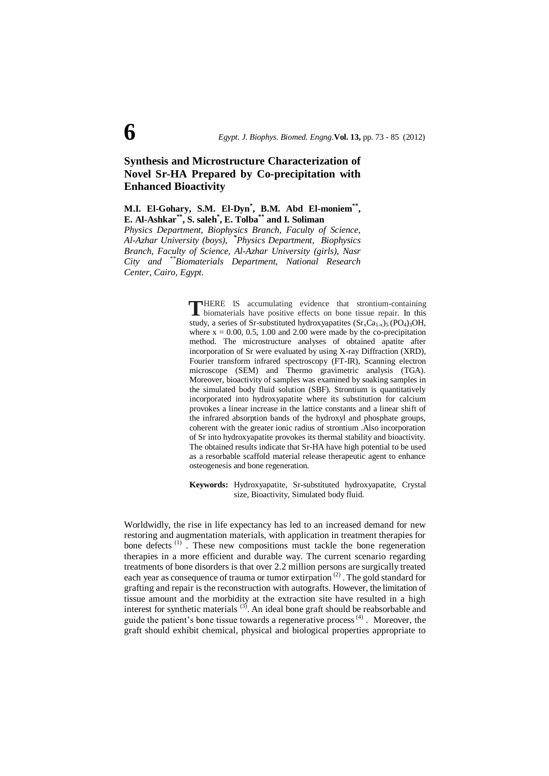# **Synthesis and Microstructure Characterization of Novel Sr-HA Prepared by Co-precipitation with Enhanced Bioactivity**

## **M.I. El-Gohary, S.M. El-Dyn\* , B.M. Abd El-moniem\*\* , E. Al-Ashkar\*\*, S. saleh\* , E. Tolba\*\* and I. Soliman**

*Physics Department, Biophysics Branch, Faculty of Science, Al-Azhar University (boys), \*Physics Department, Biophysics Branch, Faculty of Science, Al-Azhar University (girls), Nasr City and \*\*Biomaterials Department, National Research Center, Cairo, Egypt.*

> HERE IS accumulating evidence that strontium-containing THERE IS accumulating evidence that strontium-containing biomaterials have positive effects on bone tissue repair. In this study, a series of Sr-substituted hydroxyapatites  $(Sr<sub>x</sub>Ca<sub>1-x</sub>)<sub>5</sub> (PO<sub>4</sub>)<sub>3</sub>OH$ , where  $x = 0.00, 0.5, 1.00$  and 2.00 were made by the co-precipitation method. The microstructure analyses of obtained apatite after incorporation of Sr were evaluated by using X-ray Diffraction (XRD), Fourier transform infrared spectroscopy (FT-IR), Scanning electron microscope (SEM) and Thermo gravimetric analysis (TGA). Moreover, bioactivity of samples was examined by soaking samples in the simulated body fluid solution (SBF). Strontium is quantitatively incorporated into hydroxyapatite where its substitution for calcium provokes a linear increase in the lattice constants and a linear shift of the infrared absorption bands of the hydroxyl and phosphate groups, coherent with the greater ionic radius of strontium .Also incorporation of Sr into hydroxyapatite provokes its thermal stability and bioactivity. The obtained results indicate that Sr-HA have high potential to be used as a resorbable scaffold material release therapeutic agent to enhance osteogenesis and bone regeneration.

> **Keywords:** Hydroxyapatite, Sr-substituted hydroxyapatite, Crystal size, Bioactivity, Simulated body fluid.

Worldwidly, the rise in life expectancy has led to an increased demand for new restoring and augmentation materials, with application in treatment therapies for bone defects<sup>(1)</sup>. These new compositions must tackle the bone regeneration therapies in a more efficient and durable way. The current scenario regarding treatments of bone disorders is that over 2.2 million persons are surgically treated each year as consequence of trauma or tumor extirpation<sup>(2)</sup>. The gold standard for grafting and repair is the reconstruction with autografts. However, the limitation of tissue amount and the morbidity at the extraction site have resulted in a high interest for synthetic materials  $(3)$ . An ideal bone graft should be reabsorbable and guide the patient's bone tissue towards a regenerative process<sup>(4)</sup>. Moreover, the graft should exhibit chemical, physical and biological properties appropriate to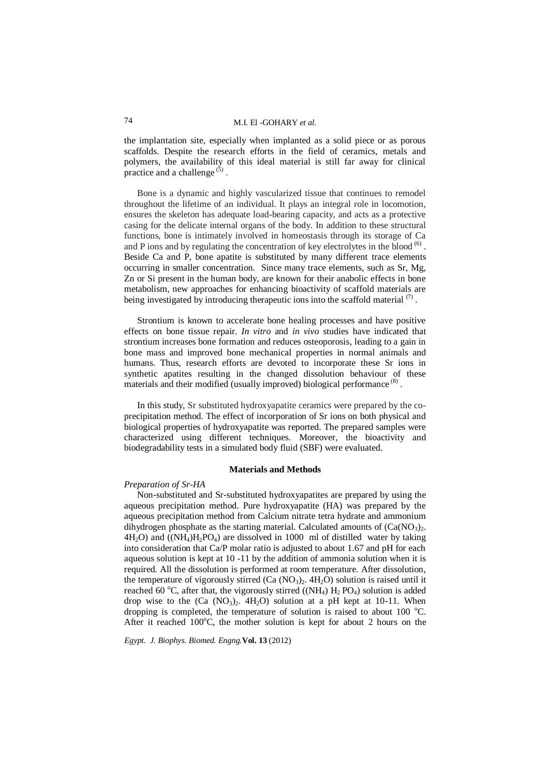the implantation site, especially when implanted as a solid piece or as porous scaffolds. Despite the research efforts in the field of ceramics, metals and polymers, the availability of this ideal material is still far away for clinical practice and a challenge  $(5)$ .

Bone is a dynamic and highly vascularized tissue that continues to remodel throughout the lifetime of an individual. It plays an integral role in locomotion, ensures the skeleton has adequate load-bearing capacity, and acts as a protective casing for the delicate internal organs of the body. In addition to these structural functions, bone is intimately involved in homeostasis through its storage of Ca and P ions and by regulating the concentration of key electrolytes in the blood  $(6)$ . Beside Ca and P, bone apatite is substituted by many different trace elements occurring in smaller concentration. Since many trace elements, such as Sr, Mg, Zn or Si present in the human body, are known for their anabolic effects in bone metabolism, new approaches for enhancing bioactivity of scaffold materials are being investigated by introducing therapeutic ions into the scaffold material  $(7)$ .

Strontium is known to accelerate bone healing processes and have positive effects on bone tissue repair. *In vitro* and *in vivo* studies have indicated that strontium increases bone formation and reduces osteoporosis, leading to a gain in bone mass and improved bone mechanical properties in normal animals and humans. Thus, research efforts are devoted to incorporate these Sr ions in synthetic apatites resulting in the changed dissolution behaviour of these materials and their modified (usually improved) biological performance<sup>(8)</sup>.

In this study, Sr substituted hydroxyapatite ceramics were prepared by the coprecipitation method. The effect of incorporation of Sr ions on both physical and biological properties of hydroxyapatite was reported. The prepared samples were characterized using different techniques. Moreover, the bioactivity and biodegradability tests in a simulated body fluid (SBF) were evaluated.

#### **Materials and Methods**

#### *Preparation of Sr-HA*

Non-substituted and Sr-substituted hydroxyapatites are prepared by using the aqueous precipitation method. Pure hydroxyapatite (HA) was prepared by the aqueous precipitation method from Calcium nitrate tetra hydrate and ammonium dihydrogen phosphate as the starting material. Calculated amounts of  $(Ca(NO<sub>3</sub>)<sub>2</sub>$ .  $4H<sub>2</sub>O$ ) and ((NH<sub>4</sub>)H<sub>2</sub>PO<sub>4</sub>) are dissolved in 1000 ml of distilled water by taking into consideration that Ca/P molar ratio is adjusted to about 1.67 and pH for each aqueous solution is kept at 10 -11 by the addition of ammonia solution when it is required. All the dissolution is performed at room temperature. After dissolution, the temperature of vigorously stirred  $(Ca (NO<sub>3</sub>)<sub>2</sub>$ .  $4H<sub>2</sub>O)$  solution is raised until it reached 60 °C, after that, the vigorously stirred ((NH<sub>4</sub>) H<sub>2</sub> PO<sub>4</sub>) solution is added drop wise to the  $(Ca (NO<sub>3</sub>)<sub>2</sub>$ .  $4H<sub>2</sub>O)$  solution at a pH kept at 10-11. When dropping is completed, the temperature of solution is raised to about 100  $^{\circ}$ C. After it reached  $100^{\circ}$ C, the mother solution is kept for about 2 hours on the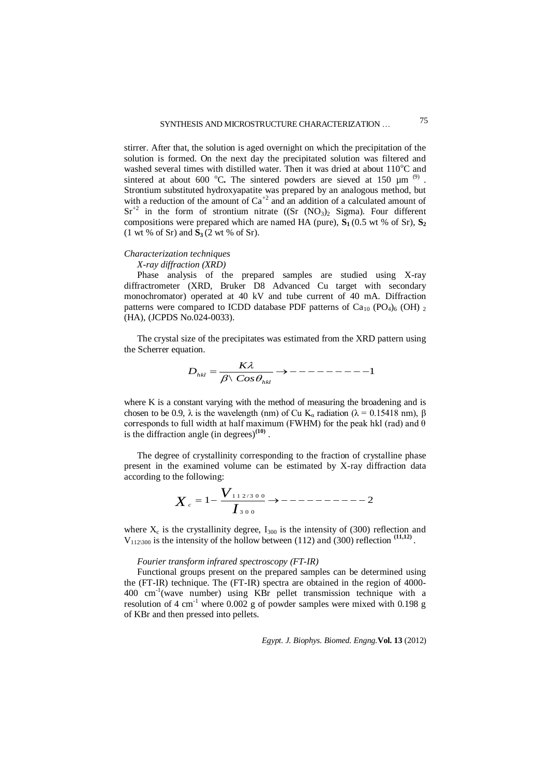stirrer. After that, the solution is aged overnight on which the precipitation of the solution is formed. On the next day the precipitated solution was filtered and washed several times with distilled water. Then it was dried at about 110°C and sintered at about 600 °C. The sintered powders are sieved at 150  $\mu$ m<sup>(9)</sup>. Strontium substituted hydroxyapatite was prepared by an analogous method, but with a reduction of the amount of  $Ca^{+2}$  and an addition of a calculated amount of  $Sr^{+2}$  in the form of strontium nitrate ((Sr (NO<sub>3</sub>)<sub>2</sub> Sigma). Four different compositions were prepared which are named HA (pure),  $S_1$  (0.5 wt % of Sr),  $S_2$ (1 wt % of Sr) and **S<sup>3</sup>** (2 wt % of Sr).

## *Characterization techniques*

## *X-ray diffraction (XRD)*

Phase analysis of the prepared samples are studied using X-ray diffractrometer (XRD, Bruker D8 Advanced Cu target with secondary monochromator) operated at 40 kV and tube current of 40 mA. Diffraction patterns were compared to ICDD database PDF patterns of  $Ca_{10}$  (PO<sub>4</sub>)<sub>6</sub> (OH)  $_2$ (HA), (JCPDS No.024-0033).

The crystal size of the precipitates was estimated from the XRD pattern using the Scherrer equation.

$$
D_{_{hkl}}=\frac{K\lambda}{\beta\backslash\ cos\theta_{_{hkl}}}\rightarrow-\!-\!-\!-\!-\!-\!-\!-\!-\!1
$$

where K is a constant varying with the method of measuring the broadening and is chosen to be 0.9,  $\lambda$  is the wavelength (nm) of Cu K<sub>α</sub> radiation ( $\lambda$  = 0.15418 nm),  $\beta$ corresponds to full width at half maximum (FWHM) for the peak hkl (rad) and  $\theta$ is the diffraction angle (in degrees) $(10)$ .

The degree of crystallinity corresponding to the fraction of crystalline phase present in the examined volume can be estimated by X-ray diffraction data according to the following:

1 2 3 0 0 1 1 2 / 3 0 0 *I V Xc*

where  $X_c$  is the crystallinity degree,  $I_{300}$  is the intensity of (300) reflection and  $V_{112\,300}$  is the intensity of the hollow between (112) and (300) reflection  $(11,12)$ .

#### *Fourier transform infrared spectroscopy (FT-IR)*

Functional groups present on the prepared samples can be determined using the (FT-IR) technique. The (FT-IR) spectra are obtained in the region of 4000- 400 cm-1 (wave number) using KBr pellet transmission technique with a resolution of 4 cm<sup>-1</sup> where 0.002 g of powder samples were mixed with 0.198 g of KBr and then pressed into pellets.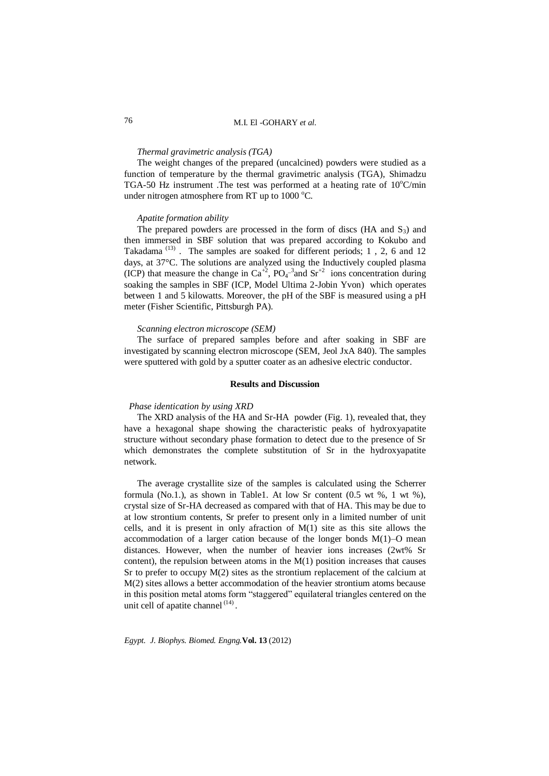## M.I. El -GOHARY *et al.*

#### *Thermal gravimetric analysis (TGA)*

The weight changes of the prepared (uncalcined) powders were studied as a function of temperature by the thermal gravimetric analysis (TGA), Shimadzu TGA-50 Hz instrument .The test was performed at a heating rate of  $10^{\circ}$ C/min under nitrogen atmosphere from RT up to  $1000$  °C.

#### *Apatite formation ability*

The prepared powders are processed in the form of discs (HA and  $S_3$ ) and then immersed in SBF solution that was prepared according to Kokubo and Takadama<sup> $(13)$ </sup>. The samples are soaked for different periods; 1, 2, 6 and 12 days, at 37°C. The solutions are analyzed using the Inductively coupled plasma (ICP) that measure the change in  $Ca^{+2}$ ,  $PO_4^{-3}$  and  $Sr^{+2}$  ions concentration during soaking the samples in SBF (ICP, Model Ultima 2-Jobin Yvon) which operates between 1 and 5 kilowatts. Moreover, the pH of the SBF is measured using a pH meter (Fisher Scientific, Pittsburgh PA).

## *Scanning electron microscope (SEM)*

The surface of prepared samples before and after soaking in SBF are investigated by scanning electron microscope (SEM, Jeol JxA 840). The samples were sputtered with gold by a sputter coater as an adhesive electric conductor.

#### **Results and Discussion**

#### *Phase identication by using XRD*

The XRD analysis of the HA and Sr-HA powder (Fig. 1), revealed that, they have a hexagonal shape showing the characteristic peaks of hydroxyapatite structure without secondary phase formation to detect due to the presence of Sr which demonstrates the complete substitution of Sr in the hydroxyapatite network.

The average crystallite size of the samples is calculated using the Scherrer formula (No.1.), as shown in Table1. At low Sr content (0.5 wt  $\%$ , 1 wt  $\%$ ), crystal size of Sr-HA decreased as compared with that of HA. This may be due to at low strontium contents, Sr prefer to present only in a limited number of unit cells, and it is present in only afraction of M(1) site as this site allows the accommodation of a larger cation because of the longer bonds M(1)–O mean distances. However, when the number of heavier ions increases (2wt% Sr content), the repulsion between atoms in the  $M(1)$  position increases that causes Sr to prefer to occupy  $M(2)$  sites as the strontium replacement of the calcium at M(2) sites allows a better accommodation of the heavier strontium atoms because in this position metal atoms form "staggered" equilateral triangles centered on the unit cell of apatite channel  $(14)$ .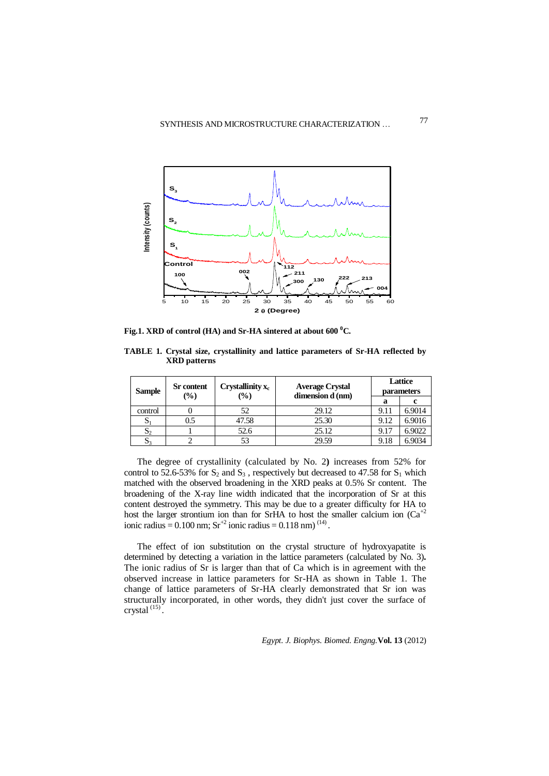

**Fig.1. XRD of control (HA) and Sr-HA sintered at about 600 <sup>0</sup>C.**

|  |                     | TABLE 1. Crystal size, crystallinity and lattice parameters of Sr-HA reflected by |  |  |  |  |
|--|---------------------|-----------------------------------------------------------------------------------|--|--|--|--|
|  | <b>XRD</b> patterns |                                                                                   |  |  |  |  |

| <b>Sample</b> | <b>Sr</b> content<br>$\frac{1}{2}$ | Crystallinity $x_c$<br>$\frac{1}{2}$ | <b>Average Crystal</b><br>dimension d (nm) | Lattice<br>parameters |        |  |
|---------------|------------------------------------|--------------------------------------|--------------------------------------------|-----------------------|--------|--|
|               |                                    |                                      |                                            | a                     |        |  |
| control       |                                    | 52                                   | 29.12                                      | 9.11                  | 6.9014 |  |
| $S_1$         | 0.5                                | 47.58                                | 25.30                                      | 9.12                  | 6.9016 |  |
| $S_2$         |                                    | 52.6                                 | 25.12                                      | 9.17                  | 6.9022 |  |
| $S_{3}$       |                                    | 53                                   | 29.59                                      | 9.18                  | 6.9034 |  |

The degree of crystallinity (calculated by No. 2**)** increases from 52% for control to 52.6-53% for  $S_2$  and  $S_3$ , respectively but decreased to 47.58 for  $S_1$  which matched with the observed broadening in the XRD peaks at 0.5% Sr content. The broadening of the X-ray line width indicated that the incorporation of Sr at this content destroyed the symmetry. This may be due to a greater difficulty for HA to host the larger strontium ion than for SrHA to host the smaller calcium ion  $(Ca^{2}$ ionic radius =  $0.100$  nm; Sr<sup>+2</sup> ionic radius =  $0.118$  nm)<sup>(14)</sup>.

The effect of ion substitution on the crystal structure of hydroxyapatite is determined by detecting a variation in the lattice parameters (calculated by No. 3)**.** The ionic radius of Sr is larger than that of Ca which is in agreement with the observed increase in lattice parameters for Sr-HA as shown in Table 1. The change of lattice parameters of Sr-HA clearly demonstrated that Sr ion was structurally incorporated, in other words, they didn't just cover the surface of crystal $^{(15)}$ .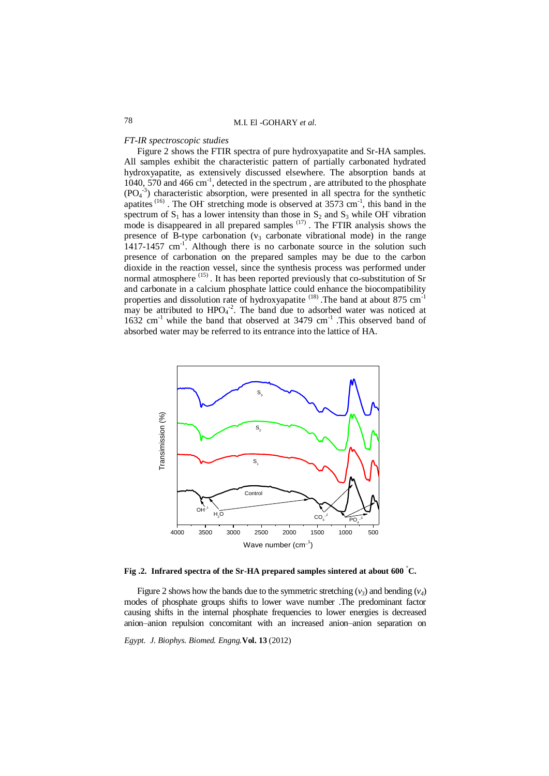M.I. El -GOHARY *et al.*

#### *FT-IR spectroscopic studies*

Figure 2 shows the FTIR spectra of pure hydroxyapatite and Sr-HA samples. All samples exhibit the characteristic pattern of partially carbonated hydrated hydroxyapatite, as extensively discussed elsewhere. The absorption bands at 1040, 570 and 466 cm<sup>-1</sup>, detected in the spectrum, are attributed to the phosphate (PO<sub>4</sub><sup>-3</sup>) characteristic absorption, were presented in all spectra for the synthetic apatites  $(16)$ . The OH stretching mode is observed at 3573 cm<sup>-1</sup>, this band in the spectrum of  $S_1$  has a lower intensity than those in  $S_2$  and  $S_3$  while OH vibration mode is disappeared in all prepared samples  $(17)$ . The FTIR analysis shows the presence of B-type carbonation  $(v_3)$  carbonate vibrational mode) in the range 1417-1457 cm<sup>-1</sup>. Although there is no carbonate source in the solution such presence of carbonation on the prepared samples may be due to the carbon dioxide in the reaction vessel, since the synthesis process was performed under normal atmosphere <sup>(15)</sup>. It has been reported previously that co-substitution of Sr and carbonate in a calcium phosphate lattice could enhance the biocompatibility properties and dissolution rate of hydroxyapatite<sup>(18)</sup>. The band at about 875 cm<sup>-1</sup> may be attributed to  $HPO<sub>4</sub><sup>-2</sup>$ . The band due to adsorbed water was noticed at  $1632$  cm<sup>-1</sup> while the band that observed at 3479 cm<sup>-1</sup>. This observed band of absorbed water may be referred to its entrance into the lattice of HA.



**Fig .2. Infrared spectra of the Sr-HA prepared samples sintered at about 600 °C.**

Figure 2 shows how the bands due to the symmetric stretching  $(v_3)$  and bending  $(v_4)$ modes of phosphate groups shifts to lower wave number .The predominant factor causing shifts in the internal phosphate frequencies to lower energies is decreased anion–anion repulsion concomitant with an increased anion–anion separation on

*Egypt. J. Biophys. Biomed. Engng.***Vol. 13** (2012)

78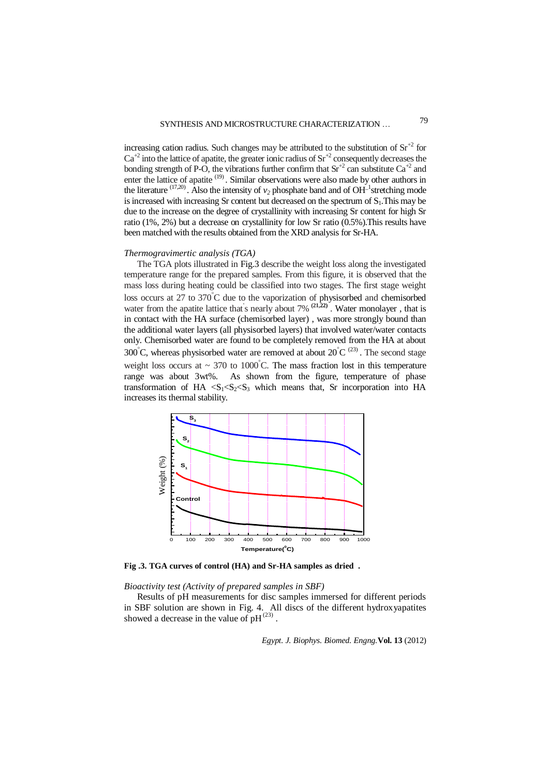79

increasing cation radius. Such changes may be attributed to the substitution of  $\text{Sr}^{+2}$  for  $Ca^{+2}$  into the lattice of apatite, the greater ionic radius of  $Sr^{+2}$  consequently decreases the bonding strength of P-O, the vibrations further confirm that  $\text{Sr}^{+2}$  can substitute  $\text{Ca}^{+2}$  and enter the lattice of apatite<sup>(19)</sup>. Similar observations were also made by other authors in the literature  $(17,20)$ . Also the intensity of  $v_2$  phosphate band and of OH<sup>-1</sup>stretching mode is increased with increasing Sr content but decreased on the spectrum of  $S<sub>1</sub>$ . This may be due to the increase on the degree of crystallinity with increasing Sr content for high Sr ratio (1%, 2%) but a decrease on crystallinity for low Sr ratio (0.5%).This results have been matched with the results obtained from the XRD analysis for Sr-HA.

#### *Thermogravimertic analysis (TGA)*

The TGA plots illustrated in Fig.3 describe the weight loss along the investigated temperature range for the prepared samples. From this figure, it is observed that the mass loss during heating could be classified into two stages. The first stage weight loss occurs at 27 to 370℃ due to the vaporization of physisorbed and chemisorbed water from the apatite lattice that s nearly about  $7\%$   $(21,22)$ . Water monolayer, that is in contact with the HA surface (chemisorbed layer) , was more strongly bound than the additional water layers (all physisorbed layers) that involved water/water contacts only. Chemisorbed water are found to be completely removed from the HA at about 300°C, whereas physisorbed water are removed at about  $20^{\circ}C^{(23)}$ . The second stage weight loss occurs at ~ 370 to 1000°C. The mass fraction lost in this temperature range was about 3wt%. As shown from the figure, temperature of phase transformation of HA  $\langle S_1 \times S_2 \times S_3 \rangle$  which means that, Sr incorporation into HA increases its thermal stability.



**Fig .3. TGA curves of control (HA) and Sr-HA samples as dried .**

*Bioactivity test (Activity of prepared samples in SBF)*

Results of pH measurements for disc samples immersed for different periods in SBF solution are shown in Fig. 4. All discs of the different hydroxyapatites showed a decrease in the value of  $pH^{(23)}$ .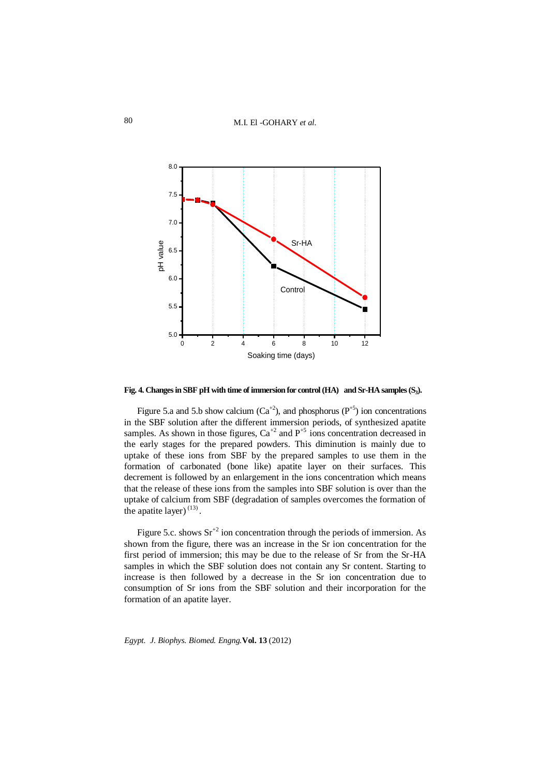

**Fig. 4. Changes in SBF pH with time of immersion for control (HA) and Sr-HA samples (S3).**

Figure 5.a and 5.b show calcium  $(Ca^{+2})$ , and phosphorus  $(P^{+5})$  ion concentrations in the SBF solution after the different immersion periods, of synthesized apatite samples. As shown in those figures,  $Ca^{+2}$  and  $P^{+5}$  ions concentration decreased in the early stages for the prepared powders. This diminution is mainly due to uptake of these ions from SBF by the prepared samples to use them in the formation of carbonated (bone like) apatite layer on their surfaces. This decrement is followed by an enlargement in the ions concentration which means that the release of these ions from the samples into SBF solution is over than the uptake of calcium from SBF (degradation of samples overcomes the formation of the apatite layer) $(13)$ .

Figure 5.c. shows  $Sr^{+2}$  ion concentration through the periods of immersion. As shown from the figure, there was an increase in the Sr ion concentration for the first period of immersion; this may be due to the release of Sr from the Sr-HA samples in which the SBF solution does not contain any Sr content. Starting to increase is then followed by a decrease in the Sr ion concentration due to consumption of Sr ions from the SBF solution and their incorporation for the formation of an apatite layer.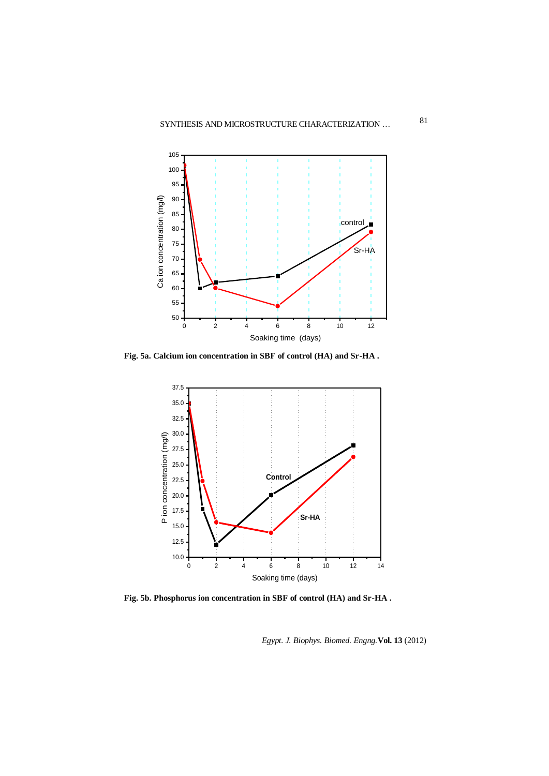81



**Fig. 5a. Calcium ion concentration in SBF of control (HA) and Sr-HA .**



**Fig. 5b. Phosphorus ion concentration in SBF of control (HA) and Sr-HA .**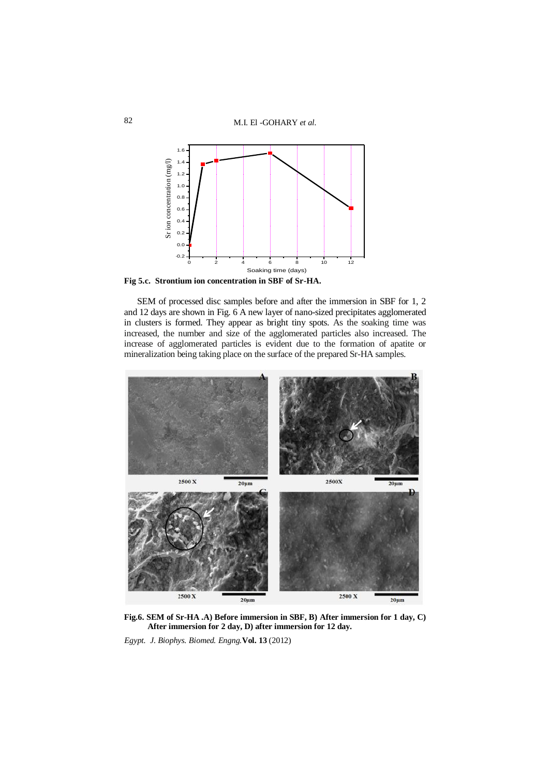

**Fig 5.c. Strontium ion concentration in SBF of Sr-HA.**

SEM of processed disc samples before and after the immersion in SBF for 1, 2 and 12 days are shown in Fig. 6 A new layer of nano-sized precipitates agglomerated in clusters is formed. They appear as bright tiny spots. As the soaking time was increased, the number and size of the agglomerated particles also increased. The increase of agglomerated particles is evident due to the formation of apatite or mineralization being taking place on the surface of the prepared Sr-HA samples.



**Fig.6. SEM of Sr-HA .A) Before immersion in SBF, B) After immersion for 1 day, C)**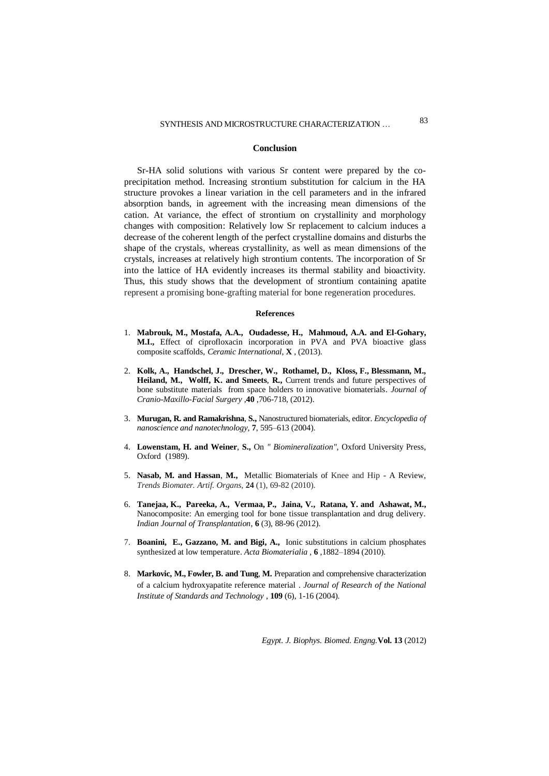## **Conclusion**

Sr-HA solid solutions with various Sr content were prepared by the coprecipitation method. Increasing strontium substitution for calcium in the HA structure provokes a linear variation in the cell parameters and in the infrared absorption bands, in agreement with the increasing mean dimensions of the cation. At variance, the effect of strontium on crystallinity and morphology changes with composition: Relatively low Sr replacement to calcium induces a decrease of the coherent length of the perfect crystalline domains and disturbs the shape of the crystals, whereas crystallinity, as well as mean dimensions of the crystals, increases at relatively high strontium contents. The incorporation of Sr into the lattice of HA evidently increases its thermal stability and bioactivity. Thus, this study shows that the development of strontium containing apatite represent a promising bone-grafting material for bone regeneration procedures.

### **References**

- 1. **Mabrouk, M., Mostafa, A.A., Oudadesse, H., Mahmoud, A.A. and El-Gohary, M.I.,** Effect of ciprofloxacin incorporation in PVA and PVA bioactive glass composite scaffolds, *Ceramic International*, **X** , (2013).
- 2. **Kolk, A., Handschel, J., Drescher, W., Rothamel, D., Kloss, F., Blessmann, M., Heiland, M., Wolff, K. and Smeets**, **R.,** Current trends and future perspectives of bone substitute materials from space holders to innovative biomaterials. *Journal of Cranio-Maxillo-Facial Surgery* ,**40** ,706-718, (2012).
- 3. **Murugan, R. and Ramakrishna**, **S.,** Nanostructured biomaterials, editor. *Encyclopedia of nanoscience and nanotechnology*, **7**, 595–613 (2004).
- 4. **Lowenstam, H. and Weiner**, **S.,** On *" Biomineralization",* Oxford University Press, Oxford (1989).
- 5. **Nasab, M. and Hassan**, **M.,** Metallic Biomaterials of Knee and Hip A Review, *Trends Biomater. Artif. Organs,* **24** (1), 69-82 (2010).
- 6. **Tanejaa, K., Pareeka, A., Vermaa, P., Jaina, V., Ratana, Y. and Ashawat, M.,** Nanocomposite: An emerging tool for bone tissue transplantation and drug delivery. *Indian Journal of Transplantation*, **6** (3), 88-96 (2012).
- 7. **Boanini, E., Gazzano, M. and Bigi, A.,** Ionic substitutions in calcium phosphates synthesized at low temperature. *Acta Biomaterialia* , **6** ,1882–1894 (2010).
- 8. **Markovic, M., Fowler, B. and Tung**, **M.** Preparation and comprehensive characterization of a calcium hydroxyapatite reference material . *Journal of Research of the National Institute of Standards and Technology* , **109** (6), 1-16 (2004).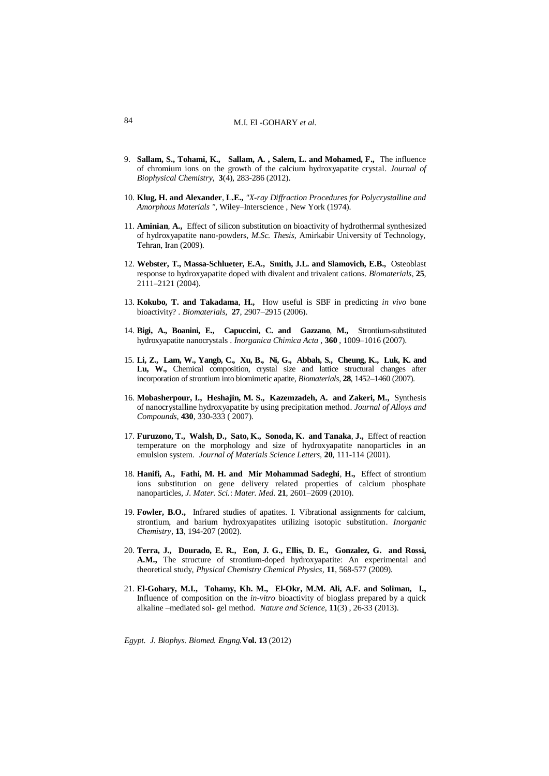- 9. **Sallam, S., Tohami, K., Sallam, A. , Salem, L. and Mohamed, F.,** The influence of chromium ions on the growth of the calcium hydroxyapatite crystal. *Journal of Biophysical Chemistry*, **3**(4), 283-286 (2012).
- 10. **Klug, H. and Alexander**, **L.E.,** *"X-ray Diffraction Procedures for Polycrystalline and Amorphous Materials ",* Wiley–Interscience , New York (1974).
- 11. **Aminian**, **A.,** Effect of silicon substitution on bioactivity of hydrothermal synthesized of hydroxyapatite nano-powders, *M.Sc. Thesis,* Amirkabir University of Technology, Tehran, Iran (2009).
- 12. **Webster, T., Massa-Schlueter, E.A., Smith, J.L. and Slamovich, E.B.,** Osteoblast response to hydroxyapatite doped with divalent and trivalent cations. *Biomaterials*, **25**, 2111–2121 (2004).
- 13. **Kokubo, T. and Takadama**, **H.,** How useful is SBF in predicting *in vivo* bone bioactivity? . *Biomaterials,* **27**, 2907–2915 (2006).
- 14. **Bigi, A., Boanini, E., Capuccini, C. and Gazzano**, **M.,** Strontium-substituted hydroxyapatite nanocrystals . *Inorganica Chimica Acta* , **360** , 1009–1016 (2007).
- 15. **Li, Z., Lam, W., Yangb, C., Xu, B., Ni, G., Abbah, S., Cheung, K., Luk, K. and Lu, W.,** Chemical composition, crystal size and lattice structural changes after incorporation of strontium into biomimetic apatite, *Biomaterials*, **28**, 1452–1460 (2007).
- 16. **Mobasherpour, I., Heshajin, M. S., Kazemzadeh, A. and Zakeri, M.,** Synthesis of nanocrystalline hydroxyapatite by using precipitation method. *Journal of Alloys and Compounds,* **430**, 330-333 ( 2007).
- 17. **Furuzono, T., Walsh, D., Sato, K., Sonoda, K. and Tanaka**, **J.,** Effect of reaction temperature on the morphology and size of hydroxyapatite nanoparticles in an emulsion system. *Journal of Materials Science Letters,* **20**, 111-114 (2001).
- 18. **Hanifi, A., Fathi, M. H. and Mir Mohammad Sadeghi**, **H.,** Effect of strontium ions substitution on gene delivery related properties of calcium phosphate nanoparticles, *J. Mater. Sci.*: *Mater. Med.* **21**, 2601–2609 (2010).
- 19. **Fowler, B.O.,** Infrared studies of apatites. I. Vibrational assignments for calcium, strontium, and barium hydroxyapatites utilizing isotopic substitution. *Inorganic Chemistry*, **13**, 194-207 (2002).
- 20. **Terra, J., Dourado, E. R., Eon, J. G., Ellis, D. E., Gonzalez, G. and Rossi, A.M.,** The structure of strontium-doped hydroxyapatite: An experimental and theoretical study, *Physical Chemistry Chemical Physics,* **11**, 568-577 (2009).
- 21. **El-Gohary, M.I., Tohamy, Kh. M., El-Okr, M.M. Ali, A.F. and Soliman, I.,** Influence of composition on the *in-vitro* bioactivity of bioglass prepared by a quick alkaline –mediated sol- gel method. *Nature and Science,* **11**(3) , 26-33 (2013).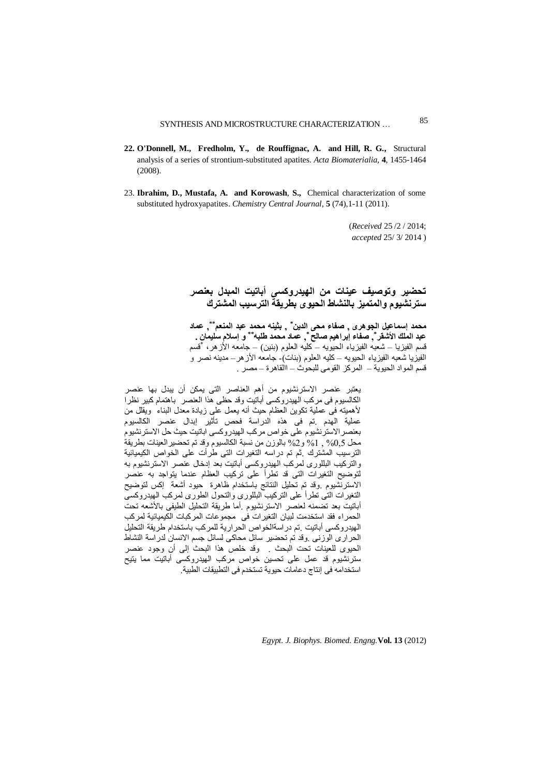- **22. O'Donnell, M., Fredholm, Y., de Rouffignac, A. and Hill, R. G.,** Structural analysis of a series of strontium-substituted apatites. *Acta Biomaterialia,* **4**, 1455-1464 (2008).
- 23. **Ibrahim, D., Mustafa, A. and Korowash**, **S.,** Chemical characterization of some substituted hydroxyapatites. *Chemistry Central Journal*, **5** (74),1-11 (2011).

(*Received* 25 /2 / 2014; *accepted* 25/ 3/ 2014 )

# **تحضير وتوصيف عينات من الهيدروكسى أباتيت المبدل بعنصر سترنشيوم والمتميز بالنشاط الحيوى بطريقة الترسيب المشترك**

**\* محمد إسماعيل الجوهرى , صفاء محى الدين , بثينه محمد عبد المنعم , عماد \*\*** عبد الملك الأشقر \*<sub>,</sub> صفاء إبراهيم صالح \*<sub>,</sub> عماد محمد طلبه\*\* و إسلام سليمان . قسم الفيزيا – شعبه الفيزياء الحيويه – كليه العلوم (بنين) – جامعه الأزهر، \*قسم الفيزيا شعبه الفيزياء الحيويه – كليه العلوم (بنات)- جامعه الأزهر– مدينه نصر و قسم المواد الحيوية – المركز القومى للبحوث – االقاهرة – مصر .

يعتبر عنصر االسترنشيوم من أهم العناصر التى يمكن أن يبدل بها عنصر الكالسيوم فى مركب الهيدروكسى أباتيت وقد حظى هذا العنصر باهتمام كبير نظرا ألهميته فى عملية تكوين العظام حيث أنه يعمل على زيادة معدل البناء ويقلل من عملية الهدم .تم فى هذه الدراسة فحص تأثير إبدال عنصر الكالسيوم بعنصراالسترنشيوم على خواص مركب الهيدروكسى اباتيت حيث حل االسترنشيوم محل 0,5% , 1% و2% بالوزن من نسبة الكالسيوم وقد تم تحضير العينات بطريقة الترسيب المشترك .ثم تم دراسه التغيرات التى طرأت على الخواص الكيميائية والتركيب البللورى لمركب الهيدروكسى أباتيت بعد إدخال عنصر االسترنشيوم به لتوضيح التغيرات التى قد تطرأ على تركيب العظام عندما يتواجد به عنصر االسترنشيوم .وقد تم تحليل النتائج باستخدام ظاهرة حيود أشعة إكس لتوضيح التغيرات التى تطرأ على التركيب البللورى والتحول الطورى لمركب الهيدروكسى أباتيت بعد تضمنه لعنصر االسترنشيوم .أما طريقة التحليل الطيفى باألشعه تحت الحمراء فقد استخدمت لبيان التغيرات فى مجموعات المركبات الكيميائية لمركب الهيدروكسى أباتيت .تم دراسةالخواص الحرارية للمركب باستخدام طريقة التحليل الحرارى الوزنى .وقد تم تحضير سائل محاكى لسائل جسم االنسان لدراسة النشاط الحيوى للعينات تحت البحث . وقد خلص هذا البحث إلى أن وجود عنصر سترنشيوم قد عمل على تحسين خواص مركب الهيدروكسى أباتيت مما يتيح استخدامه فى إنتاج دعامات حيوية تستخدم فى التطبيقات الطبية.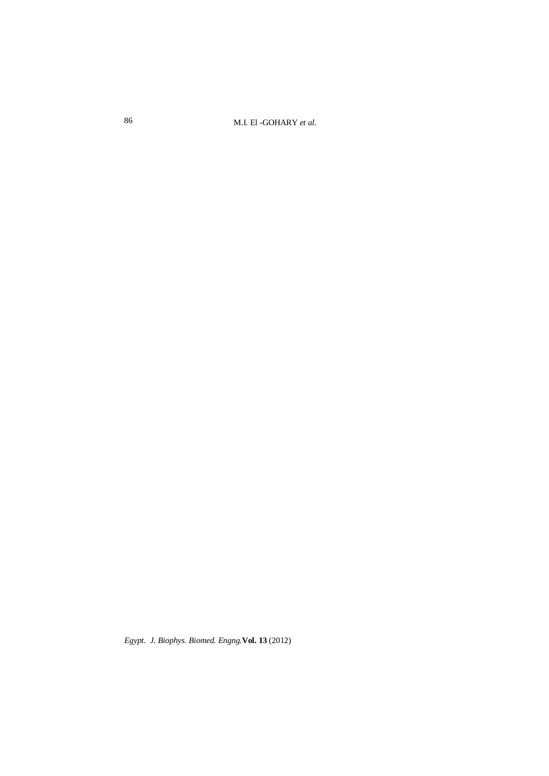M.I. El -GOHARY *et al.*

*Egypt. J. Biophys. Biomed. Engng.***Vol. 13** (2012)

86